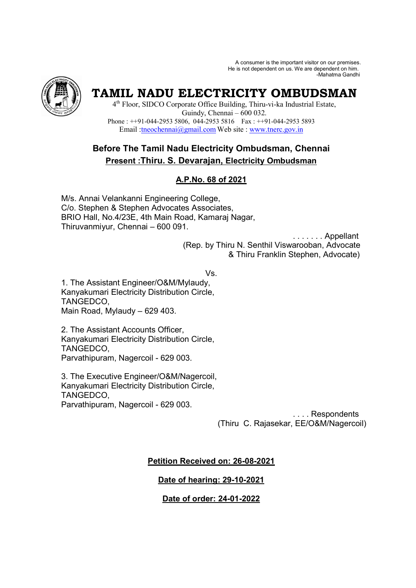A consumer is the important visitor on our premises. He is not dependent on us. We are dependent on him. -Mahatma Gandhi



# **TAMIL NADU ELECTRICITY OMBUDSMAN**

4 th Floor, SIDCO Corporate Office Building, Thiru-vi-ka Industrial Estate, Guindy, Chennai – 600 032. Phone : ++91-044-2953 5806, 044-2953 5816 Fax : ++91-044-2953 5893 Email :tneochennai@gmail.com Web site : www.tnerc.gov.in

# **Before The Tamil Nadu Electricity Ombudsman, Chennai Present :Thiru. S. Devarajan, Electricity Ombudsman**

# **A.P.No. 68 of 2021**

M/s. Annai Velankanni Engineering College, C/o. Stephen & Stephen Advocates Associates, BRIO Hall, No.4/23E, 4th Main Road, Kamaraj Nagar, Thiruvanmiyur, Chennai – 600 091.

> . . . . . . . Appellant (Rep. by Thiru N. Senthil Viswarooban, Advocate & Thiru Franklin Stephen, Advocate)

> > Vs.

1. The Assistant Engineer/O&M/Mylaudy, Kanyakumari Electricity Distribution Circle, TANGEDCO, Main Road, Mylaudy – 629 403.

2. The Assistant Accounts Officer, Kanyakumari Electricity Distribution Circle, TANGEDCO, Parvathipuram, Nagercoil - 629 003.

3. The Executive Engineer/O&M/Nagercoil, Kanyakumari Electricity Distribution Circle, TANGEDCO, Parvathipuram, Nagercoil - 629 003.

> . . . . Respondents (Thiru C. Rajasekar, EE/O&M/Nagercoil)

## **Petition Received on: 26-08-2021**

## **Date of hearing: 29-10-2021**

## **Date of order: 24-01-2022**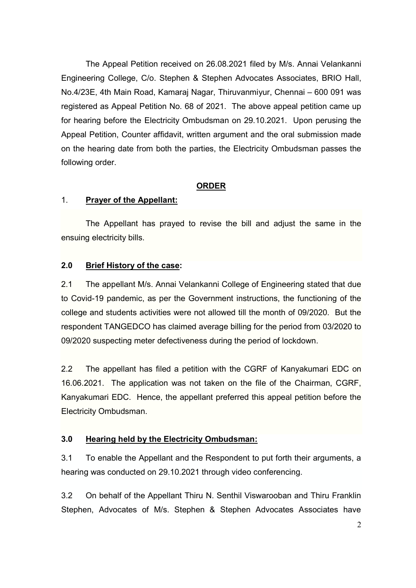The Appeal Petition received on 26.08.2021 filed by M/s. Annai Velankanni Engineering College, C/o. Stephen & Stephen Advocates Associates, BRIO Hall, No.4/23E, 4th Main Road, Kamaraj Nagar, Thiruvanmiyur, Chennai – 600 091 was registered as Appeal Petition No. 68 of 2021. The above appeal petition came up for hearing before the Electricity Ombudsman on 29.10.2021. Upon perusing the Appeal Petition, Counter affidavit, written argument and the oral submission made on the hearing date from both the parties, the Electricity Ombudsman passes the following order.

#### **ORDER**

#### 1. **Prayer of the Appellant:**

The Appellant has prayed to revise the bill and adjust the same in the ensuing electricity bills.

## **2.0 Brief History of the case:**

2.1 The appellant M/s. Annai Velankanni College of Engineering stated that due to Covid-19 pandemic, as per the Government instructions, the functioning of the college and students activities were not allowed till the month of 09/2020. But the respondent TANGEDCO has claimed average billing for the period from 03/2020 to 09/2020 suspecting meter defectiveness during the period of lockdown.

2.2 The appellant has filed a petition with the CGRF of Kanyakumari EDC on 16.06.2021. The application was not taken on the file of the Chairman, CGRF, Kanyakumari EDC. Hence, the appellant preferred this appeal petition before the Electricity Ombudsman.

## **3.0 Hearing held by the Electricity Ombudsman:**

3.1 To enable the Appellant and the Respondent to put forth their arguments, a hearing was conducted on 29.10.2021 through video conferencing.

3.2 On behalf of the Appellant Thiru N. Senthil Viswarooban and Thiru Franklin Stephen, Advocates of M/s. Stephen & Stephen Advocates Associates have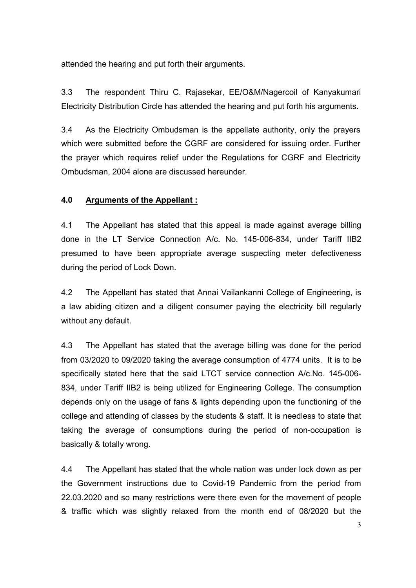attended the hearing and put forth their arguments.

3.3 The respondent Thiru C. Rajasekar, EE/O&M/Nagercoil of Kanyakumari Electricity Distribution Circle has attended the hearing and put forth his arguments.

3.4 As the Electricity Ombudsman is the appellate authority, only the prayers which were submitted before the CGRF are considered for issuing order. Further the prayer which requires relief under the Regulations for CGRF and Electricity Ombudsman, 2004 alone are discussed hereunder.

### **4.0 Arguments of the Appellant :**

4.1 The Appellant has stated that this appeal is made against average billing done in the LT Service Connection A/c. No. 145-006-834, under Tariff IIB2 presumed to have been appropriate average suspecting meter defectiveness during the period of Lock Down.

4.2 The Appellant has stated that Annai Vailankanni College of Engineering, is a law abiding citizen and a diligent consumer paying the electricity bill regularly without any default.

4.3 The Appellant has stated that the average billing was done for the period from 03/2020 to 09/2020 taking the average consumption of 4774 units. It is to be specifically stated here that the said LTCT service connection A/c.No. 145-006- 834, under Tariff IIB2 is being utilized for Engineering College. The consumption depends only on the usage of fans & lights depending upon the functioning of the college and attending of classes by the students & staff. It is needless to state that taking the average of consumptions during the period of non-occupation is basically & totally wrong.

4.4 The Appellant has stated that the whole nation was under lock down as per the Government instructions due to Covid-19 Pandemic from the period from 22.03.2020 and so many restrictions were there even for the movement of people & traffic which was slightly relaxed from the month end of 08/2020 but the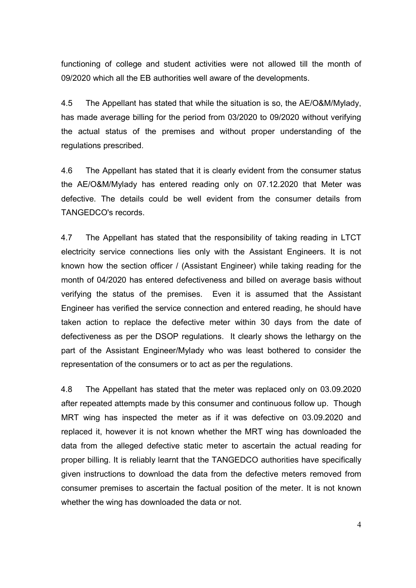functioning of college and student activities were not allowed till the month of 09/2020 which all the EB authorities well aware of the developments.

4.5 The Appellant has stated that while the situation is so, the AE/O&M/Mylady, has made average billing for the period from 03/2020 to 09/2020 without verifying the actual status of the premises and without proper understanding of the regulations prescribed.

4.6 The Appellant has stated that it is clearly evident from the consumer status the AE/O&M/Mylady has entered reading only on 07.12.2020 that Meter was defective. The details could be well evident from the consumer details from TANGEDCO's records.

4.7 The Appellant has stated that the responsibility of taking reading in LTCT electricity service connections lies only with the Assistant Engineers. It is not known how the section officer / (Assistant Engineer) while taking reading for the month of 04/2020 has entered defectiveness and billed on average basis without verifying the status of the premises. Even it is assumed that the Assistant Engineer has verified the service connection and entered reading, he should have taken action to replace the defective meter within 30 days from the date of defectiveness as per the DSOP regulations. It clearly shows the lethargy on the part of the Assistant Engineer/Mylady who was least bothered to consider the representation of the consumers or to act as per the regulations.

4.8 The Appellant has stated that the meter was replaced only on 03.09.2020 after repeated attempts made by this consumer and continuous follow up. Though MRT wing has inspected the meter as if it was defective on 03.09.2020 and replaced it, however it is not known whether the MRT wing has downloaded the data from the alleged defective static meter to ascertain the actual reading for proper billing. It is reliably learnt that the TANGEDCO authorities have specifically given instructions to download the data from the defective meters removed from consumer premises to ascertain the factual position of the meter. It is not known whether the wing has downloaded the data or not.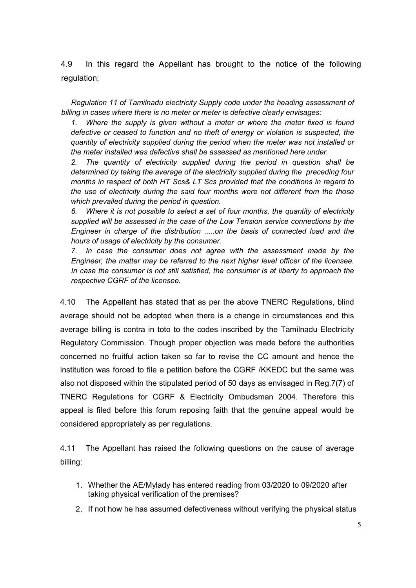4.9 In this regard the Appellant has brought to the notice of the following regulation;

*Regulation 11 of Tamilnadu electricity Supply code under the heading assessment of billing in cases where there is no meter or meter is defective clearly envisages:* 

*1. Where the supply is given without a meter or where the meter fixed is found defective or ceased to function and no theft of energy or violation is suspected, the quantity of electricity supplied during the period when the meter was not installed or the meter installed was defective shall be assessed as mentioned here under.* 

*2. The quantity of electricity supplied during the period in question shall be determined by taking the average of the electricity supplied during the preceding four months in respect of both HT Scs& LT Scs provided that the conditions in regard to the use of electricity during the said four months were not different from the those which prevailed during the period in question.* 

*6. Where it is not possible to select a set of four months, the quantity of electricity supplied will be assessed in the case of the Low Tension service connections by the Engineer in charge of the distribution .....on the basis of connected load and the hours of usage of electricity by the consumer.* 

*7. In case the consumer does not agree with the assessment made by the Engineer, the matter may be referred to the next higher level officer of the licensee. In case the consumer is not still satisfied, the consumer is at liberty to approach the respective CGRF of the licensee.* 

4.10 The Appellant has stated that as per the above TNERC Regulations, blind average should not be adopted when there is a change in circumstances and this average billing is contra in toto to the codes inscribed by the Tamilnadu Electricity Regulatory Commission. Though proper objection was made before the authorities concerned no fruitful action taken so far to revise the CC amount and hence the institution was forced to file a petition before the CGRF /KKEDC but the same was also not disposed within the stipulated period of 50 days as envisaged in Reg.7(7) of TNERC Regulations for CGRF & Electricity Ombudsman 2004. Therefore this appeal is filed before this forum reposing faith that the genuine appeal would be considered appropriately as per regulations.

4.11 The Appellant has raised the following questions on the cause of average billing:

- 1. Whether the AE/Mylady has entered reading from 03/2020 to 09/2020 after taking physical verification of the premises?
- 2. If not how he has assumed defectiveness without verifying the physical status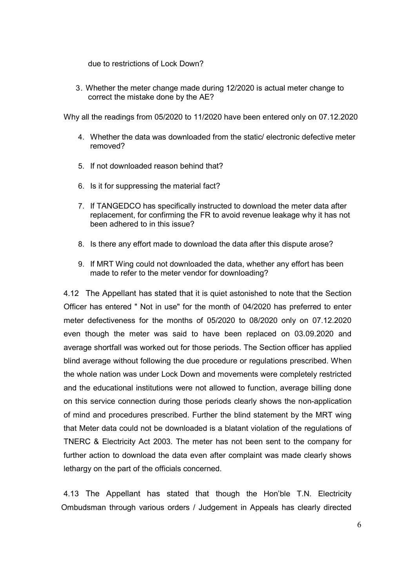due to restrictions of Lock Down?

3. Whether the meter change made during 12/2020 is actual meter change to correct the mistake done by the AE?

Why all the readings from 05/2020 to 11/2020 have been entered only on 07.12.2020

- 4. Whether the data was downloaded from the static/ electronic defective meter removed?
- 5. If not downloaded reason behind that?
- 6. Is it for suppressing the material fact?
- 7. If TANGEDCO has specifically instructed to download the meter data after replacement, for confirming the FR to avoid revenue leakage why it has not been adhered to in this issue?
- 8. Is there any effort made to download the data after this dispute arose?
- 9. If MRT Wing could not downloaded the data, whether any effort has been made to refer to the meter vendor for downloading?

4.12 The Appellant has stated that it is quiet astonished to note that the Section Officer has entered " Not in use" for the month of 04/2020 has preferred to enter meter defectiveness for the months of 05/2020 to 08/2020 only on 07.12.2020 even though the meter was said to have been replaced on 03.09.2020 and average shortfall was worked out for those periods. The Section officer has applied blind average without following the due procedure or regulations prescribed. When the whole nation was under Lock Down and movements were completely restricted and the educational institutions were not allowed to function, average billing done on this service connection during those periods clearly shows the non-application of mind and procedures prescribed. Further the blind statement by the MRT wing that Meter data could not be downloaded is a blatant violation of the regulations of TNERC & Electricity Act 2003. The meter has not been sent to the company for further action to download the data even after complaint was made clearly shows lethargy on the part of the officials concerned.

4.13 The Appellant has stated that though the Hon'ble T.N. Electricity Ombudsman through various orders / Judgement in Appeals has clearly directed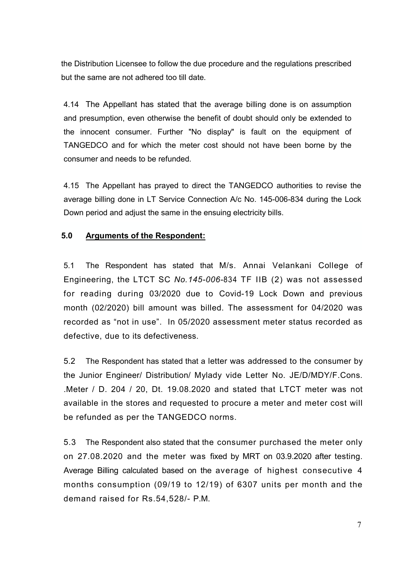the Distribution Licensee to follow the due procedure and the regulations prescribed but the same are not adhered too till date.

4.14 The Appellant has stated that the average billing done is on assumption and presumption, even otherwise the benefit of doubt should only be extended to the innocent consumer. Further "No display" is fault on the equipment of TANGEDCO and for which the meter cost should not have been borne by the consumer and needs to be refunded.

4.15 The Appellant has prayed to direct the TANGEDCO authorities to revise the average billing done in LT Service Connection A/c No. 145-006-834 during the Lock Down period and adjust the same in the ensuing electricity bills.

#### **5.0 Arguments of the Respondent:**

5.1 The Respondent has stated that M/s. Annai Velankani College of Engineering, the LTCT SC *No.145-006-*834 TF IIB (2) was not assessed for reading during 03/2020 due to Covid-19 Lock Down and previous month (02/2020) bill amount was billed. The assessment for 04/2020 was recorded as "not in use". In 05/2020 assessment meter status recorded as defective, due to its defectiveness.

5.2 The Respondent has stated that a letter was addressed to the consumer by the Junior Engineer/ Distribution/ Mylady vide Letter No. JE/D/MDY/F.Cons. .Meter / D. 204 / 20, Dt. 19.08.2020 and stated that LTCT meter was not available in the stores and requested to procure a meter and meter cost will be refunded as per the TANGEDCO norms.

5.3 The Respondent also stated that the consumer purchased the meter only on 27.08.2020 and the meter was fixed by MRT on 03.9.2020 after testing. Average Billing calculated based on the average of highest consecutive 4 months consumption (09/19 to 12/19) of 6307 units per month and the demand raised for Rs.54,528/- P.M.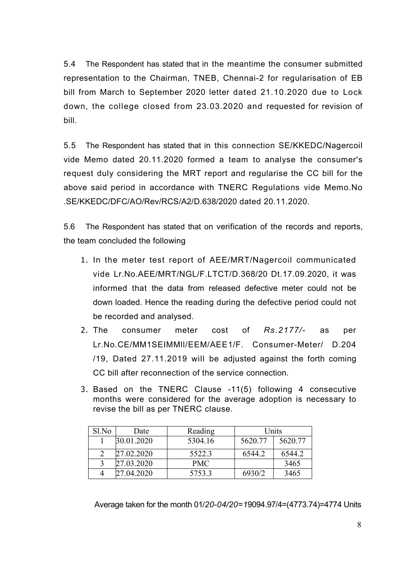5.4 The Respondent has stated that in the meantime the consumer submitted representation to the Chairman, TNEB, Chennai-2 for regularisation of EB bill from March to September 2020 letter dated 21.10.2020 due to Lock down, the college closed from 23.03.2020 and requested for revision of bill.

5.5 The Respondent has stated that in this connection SE/KKEDC/Nagercoil vide Memo dated 20.11.2020 formed a team to analyse the consumer's request duly considering the MRT report and regularise the CC bill for the above said period in accordance with TNERC Regulations vide Memo.No .SE/KKEDC/DFC/AO/Rev/RCS/A2/D.638/2020 dated 20.11.2020.

5.6 The Respondent has stated that on verification of the records and reports, the team concluded the following

- 1. In the meter test report of AEE/MRT/Nagercoil communicated vide Lr.No.AEE/MRT/NGL/F.LTCT/D.368/20 Dt.17.09.2020, it was informed that the data from released defective meter could not be down loaded. Hence the reading during the defective period could not be recorded and analysed.
- 2. The consumer meter cost of *Rs.2177/-* as per Lr.No.CE/MM1SEIMMll/EEM/AEE1/F. Consumer-Meter/ D.204 /19, Dated 27.11.2019 will be adjusted against the forth coming CC bill after reconnection of the service connection.
- 3. Based on the TNERC Clause -11(5) following 4 consecutive months were considered for the average adoption is necessary to revise the bill as per TNERC clause.

| Sl.No | Date       | Reading    | Units   |         |
|-------|------------|------------|---------|---------|
|       | 30.01.2020 | 5304.16    | 5620.77 | 5620.77 |
|       | 27.02.2020 | 5522.3     | 6544.2  | 6544.2  |
|       | 27.03.2020 | <b>PMC</b> |         | 3465    |
| 4     | 27.04.2020 | 5753.3     | 6930/2  | 3465    |

Average taken for the month 01/*20-04/20=1*9094.97/4=(4773.74)=4774 Units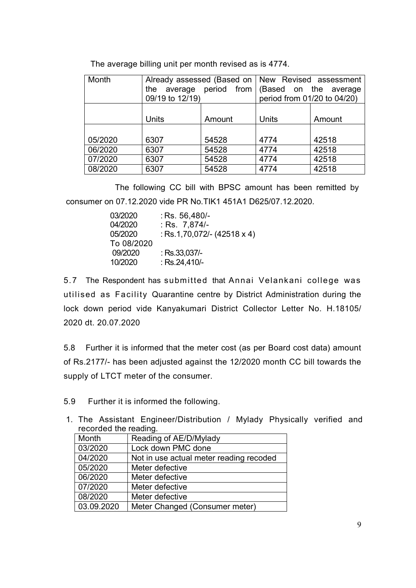| Month   | Already assessed (Based on   New Revised assessment |        |                             |        |
|---------|-----------------------------------------------------|--------|-----------------------------|--------|
|         | the average period from (Based on the average       |        |                             |        |
|         | 09/19 to 12/19)                                     |        | period from 01/20 to 04/20) |        |
|         |                                                     |        |                             |        |
|         | <b>Units</b>                                        | Amount | <b>Units</b>                | Amount |
|         |                                                     |        |                             |        |
| 05/2020 | 6307                                                | 54528  | 4774                        | 42518  |
| 06/2020 | 6307                                                | 54528  | 4774                        | 42518  |
| 07/2020 | 6307                                                | 54528  | 4774                        | 42518  |
| 08/2020 | 6307                                                | 54528  | 4774                        | 42518  |

The average billing unit per month revised as is 4774.

The following CC bill with BPSC amount has been remitted by consumer on 07.12.2020 vide PR No.TIK1 451A1 D625/07.12.2020.

| : Rs. 56,480/-                     |
|------------------------------------|
| : Rs. 7,874/-                      |
| : Rs.1,70,072/- $(42518 \times 4)$ |
|                                    |
| : Rs.33,037/-                      |
| : Rs.24,410/-                      |
|                                    |

5.7 The Respondent has submitted that Annai Velankani college was utilised as Facility Quarantine centre by District Administration during the lock down period vide Kanyakumari District Collector Letter No. H.18105/ 2020 dt. 20.07.2020

5.8 Further it is informed that the meter cost (as per Board cost data) amount of Rs.2177/- has been adjusted against the 12/2020 month CC bill towards the supply of LTCT meter of the consumer.

5.9 Further it is informed the following.

1. The Assistant Engineer/Distribution / Mylady Physically verified and recorded the reading.

| Month      | Reading of AE/D/Mylady                  |
|------------|-----------------------------------------|
| 03/2020    | Lock down PMC done                      |
| 04/2020    | Not in use actual meter reading recoded |
| 05/2020    | Meter defective                         |
| 06/2020    | Meter defective                         |
| 07/2020    | Meter defective                         |
| 08/2020    | Meter defective                         |
| 03.09.2020 | Meter Changed (Consumer meter)          |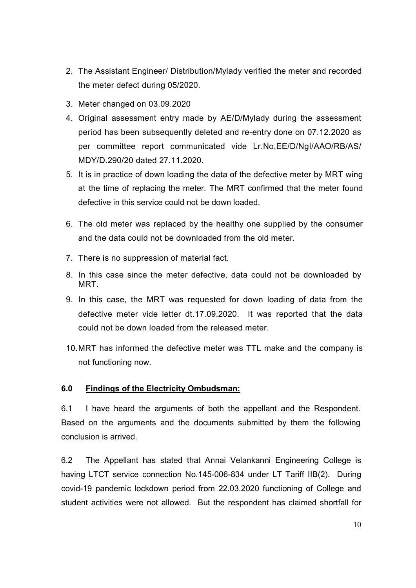- 2. The Assistant Engineer/ Distribution/Mylady verified the meter and recorded the meter defect during 05/2020.
- 3. Meter changed on 03.09.2020
- 4. Original assessment entry made by AE/D/Mylady during the assessment period has been subsequently deleted and re-entry done on 07.12.2020 as per committee report communicated vide Lr.No.EE/D/NgI/AAO/RB/AS/ MDY/D.290/20 dated 27.11.2020.
- 5. It is in practice of down loading the data of the defective meter by MRT wing at the time of replacing the meter. The MRT confirmed that the meter found defective in this service could not be down loaded.
- 6. The old meter was replaced by the healthy one supplied by the consumer and the data could not be downloaded from the old meter.
- 7. There is no suppression of material fact.
- 8. In this case since the meter defective, data could not be downloaded by MRT.
- 9. In this case, the MRT was requested for down loading of data from the defective meter vide letter dt.17.09.2020. It was reported that the data could not be down loaded from the released meter.
- 10. MRT has informed the defective meter was TTL make and the company is not functioning now.

#### **6.0 Findings of the Electricity Ombudsman:**

6.1 I have heard the arguments of both the appellant and the Respondent. Based on the arguments and the documents submitted by them the following conclusion is arrived.

6.2 The Appellant has stated that Annai Velankanni Engineering College is having LTCT service connection No.145-006-834 under LT Tariff IIB(2). During covid-19 pandemic lockdown period from 22.03.2020 functioning of College and student activities were not allowed. But the respondent has claimed shortfall for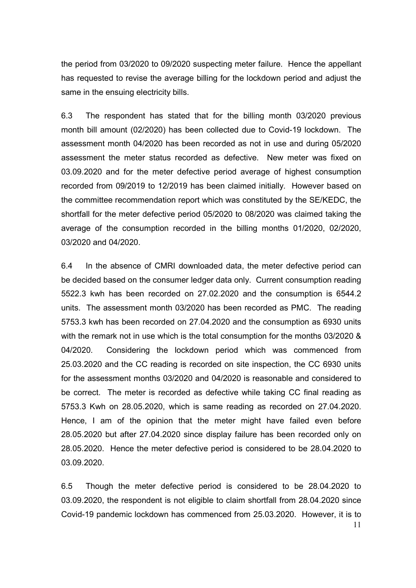the period from 03/2020 to 09/2020 suspecting meter failure. Hence the appellant has requested to revise the average billing for the lockdown period and adjust the same in the ensuing electricity bills.

6.3 The respondent has stated that for the billing month 03/2020 previous month bill amount (02/2020) has been collected due to Covid-19 lockdown. The assessment month 04/2020 has been recorded as not in use and during 05/2020 assessment the meter status recorded as defective. New meter was fixed on 03.09.2020 and for the meter defective period average of highest consumption recorded from 09/2019 to 12/2019 has been claimed initially. However based on the committee recommendation report which was constituted by the SE/KEDC, the shortfall for the meter defective period 05/2020 to 08/2020 was claimed taking the average of the consumption recorded in the billing months 01/2020, 02/2020, 03/2020 and 04/2020.

6.4 In the absence of CMRI downloaded data, the meter defective period can be decided based on the consumer ledger data only. Current consumption reading 5522.3 kwh has been recorded on 27.02.2020 and the consumption is 6544.2 units. The assessment month 03/2020 has been recorded as PMC. The reading 5753.3 kwh has been recorded on 27.04.2020 and the consumption as 6930 units with the remark not in use which is the total consumption for the months 03/2020 & 04/2020. Considering the lockdown period which was commenced from 25.03.2020 and the CC reading is recorded on site inspection, the CC 6930 units for the assessment months 03/2020 and 04/2020 is reasonable and considered to be correct. The meter is recorded as defective while taking CC final reading as 5753.3 Kwh on 28.05.2020, which is same reading as recorded on 27.04.2020. Hence, I am of the opinion that the meter might have failed even before 28.05.2020 but after 27.04.2020 since display failure has been recorded only on 28.05.2020. Hence the meter defective period is considered to be 28.04.2020 to 03.09.2020.

11 6.5 Though the meter defective period is considered to be 28.04.2020 to 03.09.2020, the respondent is not eligible to claim shortfall from 28.04.2020 since Covid-19 pandemic lockdown has commenced from 25.03.2020. However, it is to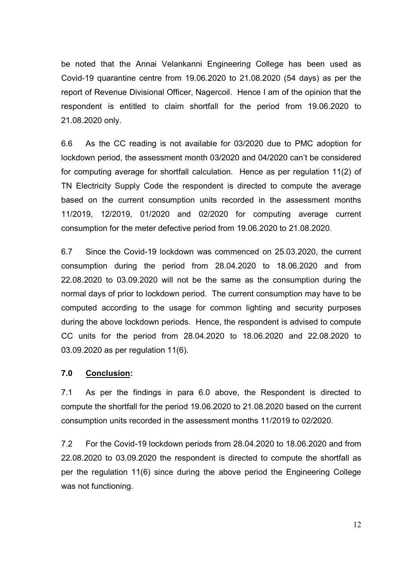be noted that the Annai Velankanni Engineering College has been used as Covid-19 quarantine centre from 19.06.2020 to 21.08.2020 (54 days) as per the report of Revenue Divisional Officer, Nagercoil. Hence I am of the opinion that the respondent is entitled to claim shortfall for the period from 19.06.2020 to 21.08.2020 only.

6.6 As the CC reading is not available for 03/2020 due to PMC adoption for lockdown period, the assessment month 03/2020 and 04/2020 can't be considered for computing average for shortfall calculation. Hence as per regulation 11(2) of TN Electricity Supply Code the respondent is directed to compute the average based on the current consumption units recorded in the assessment months 11/2019, 12/2019, 01/2020 and 02/2020 for computing average current consumption for the meter defective period from 19.06.2020 to 21.08.2020.

6.7 Since the Covid-19 lockdown was commenced on 25.03.2020, the current consumption during the period from 28.04.2020 to 18.06.2020 and from 22.08.2020 to 03.09.2020 will not be the same as the consumption during the normal days of prior to lockdown period. The current consumption may have to be computed according to the usage for common lighting and security purposes during the above lockdown periods. Hence, the respondent is advised to compute CC units for the period from 28.04.2020 to 18.06.2020 and 22.08.2020 to 03.09.2020 as per regulation 11(6).

#### **7.0 Conclusion:**

7.1 As per the findings in para 6.0 above, the Respondent is directed to compute the shortfall for the period 19.06.2020 to 21.08.2020 based on the current consumption units recorded in the assessment months 11/2019 to 02/2020.

7.2 For the Covid-19 lockdown periods from 28.04.2020 to 18.06.2020 and from 22.08.2020 to 03.09.2020 the respondent is directed to compute the shortfall as per the regulation 11(6) since during the above period the Engineering College was not functioning.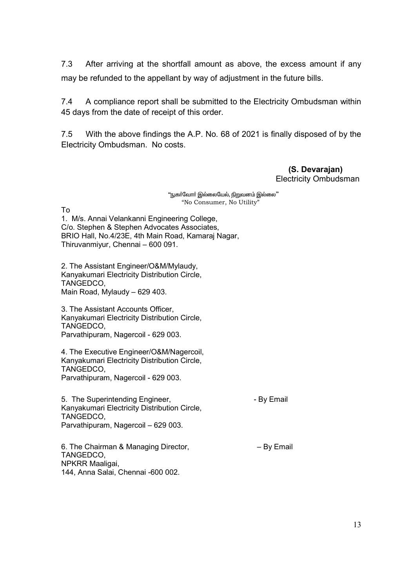7.3 After arriving at the shortfall amount as above, the excess amount if any may be refunded to the appellant by way of adjustment in the future bills.

7.4 A compliance report shall be submitted to the Electricity Ombudsman within 45 days from the date of receipt of this order.

7.5 With the above findings the A.P. No. 68 of 2021 is finally disposed of by the Electricity Ombudsman. No costs.

> **(S. Devarajan)**  Electricity Ombudsman

"நுகா்வோா் இல்லையேல், நிறுவனம் இல்லை" "No Consumer, No Utility"

To

1. M/s. Annai Velankanni Engineering College, C/o. Stephen & Stephen Advocates Associates, BRIO Hall, No.4/23E, 4th Main Road, Kamaraj Nagar, Thiruvanmiyur, Chennai – 600 091.

2. The Assistant Engineer/O&M/Mylaudy, Kanyakumari Electricity Distribution Circle, TANGEDCO, Main Road, Mylaudy – 629 403.

3. The Assistant Accounts Officer, Kanyakumari Electricity Distribution Circle, TANGEDCO, Parvathipuram, Nagercoil - 629 003.

4. The Executive Engineer/O&M/Nagercoil, Kanyakumari Electricity Distribution Circle, TANGEDCO, Parvathipuram, Nagercoil - 629 003.

5. The Superintending Engineer, The Superintending Engineer, Kanyakumari Electricity Distribution Circle, TANGEDCO, Parvathipuram, Nagercoil – 629 003.

6. The Chairman & Managing Director,  $-$  By Email TANGEDCO, NPKRR Maaligai, 144, Anna Salai, Chennai -600 002.